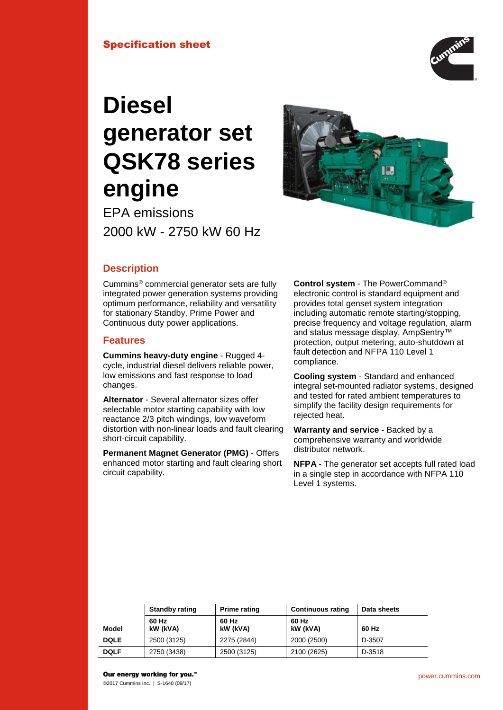## Specification sheet



# **Diesel generator set QSK78 series engine**

EPA emissions 2000 kW - 2750 kW 60 Hz



# **Description**

Cummins® commercial generator sets are fully integrated power generation systems providing optimum performance, reliability and versatility for stationary Standby, Prime Power and Continuous duty power applications.

## **Features**

**Cummins heavy-duty engine** - Rugged 4 cycle, industrial diesel delivers reliable power, low emissions and fast response to load changes.

**Alternator** - Several alternator sizes offer selectable motor starting capability with low reactance 2/3 pitch windings, low waveform distortion with non-linear loads and fault clearing short-circuit capability.

**Permanent Magnet Generator (PMG)** - Offers enhanced motor starting and fault clearing short circuit capability.

**Control system** - The PowerCommand® electronic control is standard equipment and provides total genset system integration including automatic remote starting/stopping, precise frequency and voltage regulation, alarm and status message display, AmpSentry™ protection, output metering, auto-shutdown at fault detection and NFPA 110 Level 1 compliance.

**Cooling system** - Standard and enhanced integral set-mounted radiator systems, designed and tested for rated ambient temperatures to simplify the facility design requirements for rejected heat.

**Warranty and service** - Backed by a comprehensive warranty and worldwide distributor network.

**NFPA** - The generator set accepts full rated load in a single step in accordance with NFPA 110 Level 1 systems.

|              | <b>Standby rating</b> | <b>Prime rating</b> | <b>Continuous rating</b> | Data sheets |
|--------------|-----------------------|---------------------|--------------------------|-------------|
| <b>Model</b> | 60 Hz<br>kW (kVA)     | 60 Hz<br>kW (kVA)   | 60 Hz<br>kW (kVA)        | 60 Hz       |
| <b>DQLE</b>  | 2500 (3125)           | 2275 (2844)         | 2000 (2500)              | D-3507      |
| <b>DQLF</b>  | 2750 (3438)           | 2500 (3125)         | 2100 (2625)              | D-3518      |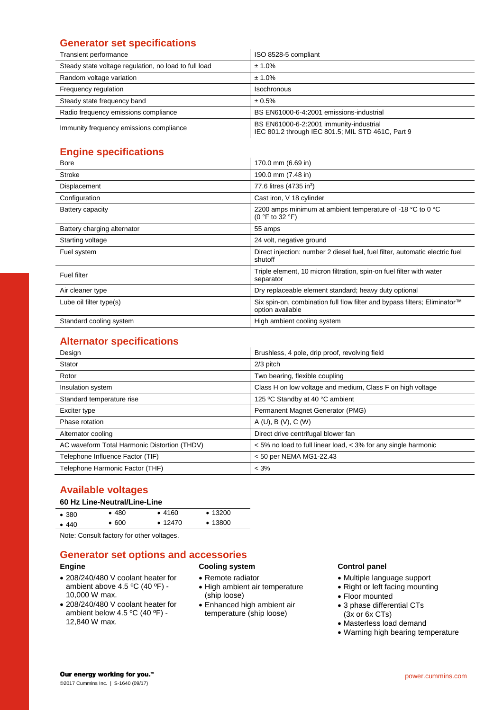# **Generator set specifications**

| Transient performance                                 | ISO 8528-5 compliant                                                                         |
|-------------------------------------------------------|----------------------------------------------------------------------------------------------|
| Steady state voltage regulation, no load to full load | ± 1.0%                                                                                       |
| Random voltage variation                              | $± 1.0\%$                                                                                    |
| Frequency regulation                                  | Isochronous                                                                                  |
| Steady state frequency band                           | ± 0.5%                                                                                       |
| Radio frequency emissions compliance                  | BS EN61000-6-4:2001 emissions-industrial                                                     |
| Immunity frequency emissions compliance               | BS EN61000-6-2:2001 immunity-industrial<br>IEC 801.2 through IEC 801.5; MIL STD 461C, Part 9 |

# **Engine specifications**

| <b>Bore</b>                 | 170.0 mm (6.69 in)                                                                              |
|-----------------------------|-------------------------------------------------------------------------------------------------|
| <b>Stroke</b>               | 190.0 mm (7.48 in)                                                                              |
| Displacement                | 77.6 litres (4735 in <sup>3</sup> )                                                             |
| Configuration               | Cast iron, V 18 cylinder                                                                        |
| Battery capacity            | 2200 amps minimum at ambient temperature of -18 °C to 0 °C<br>(0 $\degree$ F to 32 $\degree$ F) |
| Battery charging alternator | 55 amps                                                                                         |
| Starting voltage            | 24 volt, negative ground                                                                        |
| Fuel system                 | Direct injection: number 2 diesel fuel, fuel filter, automatic electric fuel<br>shutoff         |
| Fuel filter                 | Triple element, 10 micron filtration, spin-on fuel filter with water<br>separator               |
| Air cleaner type            | Dry replaceable element standard; heavy duty optional                                           |
| Lube oil filter type(s)     | Six spin-on, combination full flow filter and bypass filters; Eliminator™<br>option available   |
| Standard cooling system     | High ambient cooling system                                                                     |

# **Alternator specifications**

| Design                                       | Brushless, 4 pole, drip proof, revolving field                 |
|----------------------------------------------|----------------------------------------------------------------|
| Stator                                       | 2/3 pitch                                                      |
| Rotor                                        | Two bearing, flexible coupling                                 |
| Insulation system                            | Class H on low voltage and medium, Class F on high voltage     |
| Standard temperature rise                    | 125 °C Standby at 40 °C ambient                                |
| Exciter type                                 | Permanent Magnet Generator (PMG)                               |
| Phase rotation                               | A(U), B(V), C(W)                                               |
| Alternator cooling                           | Direct drive centrifugal blower fan                            |
| AC waveform Total Harmonic Distortion (THDV) | < 5% no load to full linear load, < 3% for any single harmonic |
| Telephone Influence Factor (TIF)             | < 50 per NEMA MG1-22.43                                        |
| Telephone Harmonic Factor (THF)              | $< 3\%$                                                        |

# **Available voltages**

## **60 Hz Line-Neutral/Line-Line**

| •380  | •480  | •4160           | $\cdot$ 13200   |  |
|-------|-------|-----------------|-----------------|--|
| • 440 | • 600 | $\bullet$ 12470 | $\bullet$ 13800 |  |
|       |       |                 |                 |  |

Note: Consult factory for other voltages.

# **Generator set options and accessories**

## **Engine**

- 208/240/480 V coolant heater for ambient above 4.5 ºC (40 ºF) - 10,000 W max.
- 208/240/480 V coolant heater for ambient below 4.5 ºC (40 ºF) - 12,840 W max.

# **Cooling system**

- Remote radiator • High ambient air temperature (ship loose)
- Enhanced high ambient air temperature (ship loose)

## **Control panel**

- Multiple language support
- Right or left facing mounting
- Floor mounted
- 3 phase differential CTs (3x or 6x CTs)
- Masterless load demand
- Warning high bearing temperature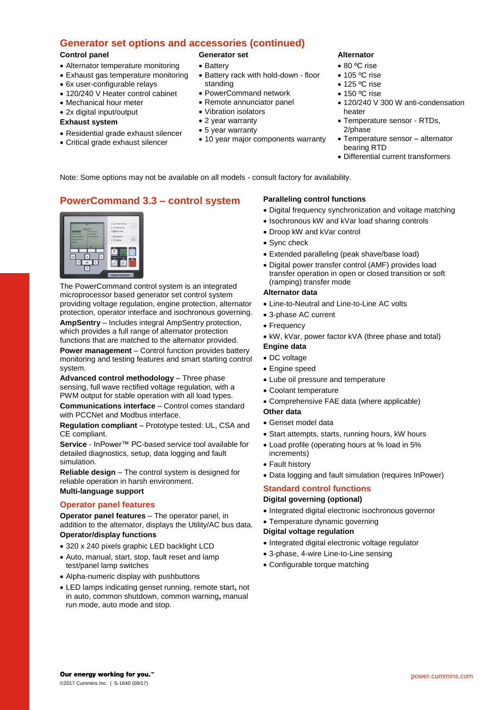# **Generator set options and accessories (continued)**

## **Control panel**

- Alternator temperature monitoring
- Exhaust gas temperature monitoring
- 6x user-configurable relays
- 120/240 V Heater control cabinet
- Mechanical hour meter
- 2x digital input/output

## **Exhaust system**

- Residential grade exhaust silencer
- Critical grade exhaust silencer

# **Generator set**

- Battery
- Battery rack with hold-down floor standing
- PowerCommand network
- Remote annunciator panel
- Vibration isolators
- 2 year warranty
- 5 year warranty
- 10 year major components warranty

## **Alternator**

- 80 °C rise
- $\bullet$  105 °C rise
- $\bullet$  125 °C rise
- $\bullet$  150 °C rise
- 120/240 V 300 W anti-condensation heater
- Temperature sensor RTDs, 2/phase
- Temperature sensor alternator bearing RTD
- Differential current transformers

Note: Some options may not be available on all models - consult factory for availability.

# **PowerCommand 3.3 – control system**

The PowerCommand control system is an integrated microprocessor based generator set control system providing voltage regulation, engine protection, alternator protection, operator interface and isochronous governing. **AmpSentry** – Includes integral AmpSentry protection, which provides a full range of alternator protection

functions that are matched to the alternator provided.

**Power management** – Control function provides battery monitoring and testing features and smart starting control system.

**Advanced control methodology** – Three phase sensing, full wave rectified voltage regulation, with a PWM output for stable operation with all load types.

**Communications interface** – Control comes standard with PCCNet and Modbus interface.

**Regulation compliant** – Prototype tested: UL, CSA and CE compliant.

**Service** - InPower™ PC-based service tool available for detailed diagnostics, setup, data logging and fault simulation.

**Reliable design** – The control system is designed for reliable operation in harsh environment. **Multi-language support**

## **Operator panel features**

**Operator panel features** – The operator panel, in addition to the alternator, displays the Utility/AC bus data. **Operator/display functions**

- 320 x 240 pixels graphic LED backlight LCD
- Auto, manual, start, stop, fault reset and lamp test/panel lamp switches
- Alpha-numeric display with pushbuttons
- LED lamps indicating genset running, remote start**,** not in auto, common shutdown, common warning**,** manual run mode, auto mode and stop.

## **Paralleling control functions**

- Digital frequency synchronization and voltage matching
- Isochronous kW and kVar load sharing controls
- Droop kW and kVar control
- Sync check
- Extended paralleling (peak shave/base load)
- Digital power transfer control (AMF) provides load transfer operation in open or closed transition or soft (ramping) transfer mode

## **Alternator data**

- Line-to-Neutral and Line-to-Line AC volts
- 3-phase AC current
- Frequency
- kW, kVar, power factor kVA (three phase and total)
- **Engine data**
- DC voltage
- Engine speed
- Lube oil pressure and temperature
- Coolant temperature
- Comprehensive FAE data (where applicable)
- **Other data**
- Genset model data
- Start attempts, starts, running hours, kW hours
- Load profile (operating hours at % load in 5% increments)
- Fault history
- Data logging and fault simulation (requires InPower)

## **Standard control functions Digital governing (optional)**

- Integrated digital electronic isochronous governor
- Temperature dynamic governing

## **Digital voltage regulation**

- Integrated digital electronic voltage regulator
- 3-phase, 4-wire Line-to-Line sensing
- Configurable torque matching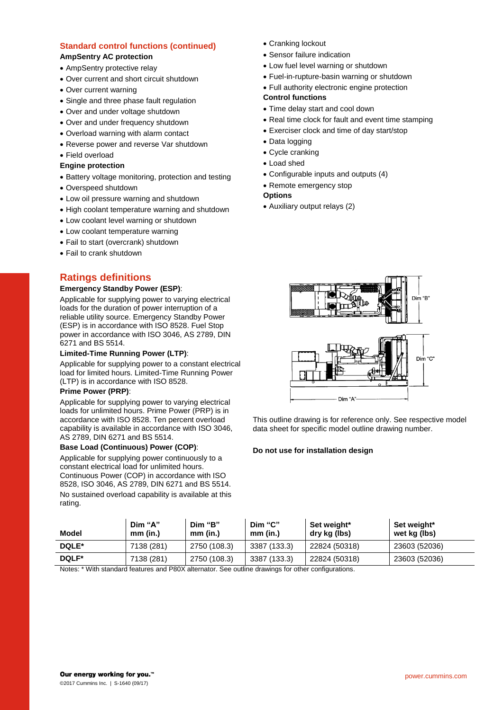## **Standard control functions (continued) AmpSentry AC protection**

- AmpSentry protective relay
- Over current and short circuit shutdown
- Over current warning
- Single and three phase fault regulation
- Over and under voltage shutdown
- Over and under frequency shutdown
- Overload warning with alarm contact
- Reverse power and reverse Var shutdown
- Field overload

#### **Engine protection**

- Battery voltage monitoring, protection and testing
- Overspeed shutdown
- Low oil pressure warning and shutdown
- High coolant temperature warning and shutdown
- Low coolant level warning or shutdown
- Low coolant temperature warning
- Fail to start (overcrank) shutdown
- Fail to crank shutdown

# **Ratings definitions**

#### **Emergency Standby Power (ESP)**:

Applicable for supplying power to varying electrical loads for the duration of power interruption of a reliable utility source. Emergency Standby Power (ESP) is in accordance with ISO 8528. Fuel Stop power in accordance with ISO 3046, AS 2789, DIN 6271 and BS 5514.

#### **Limited-Time Running Power (LTP)**:

Applicable for supplying power to a constant electrical load for limited hours. Limited-Time Running Power (LTP) is in accordance with ISO 8528.

#### **Prime Power (PRP)**:

Applicable for supplying power to varying electrical loads for unlimited hours. Prime Power (PRP) is in accordance with ISO 8528. Ten percent overload capability is available in accordance with ISO 3046, AS 2789, DIN 6271 and BS 5514.

#### **Base Load (Continuous) Power (COP)**:

Applicable for supplying power continuously to a constant electrical load for unlimited hours. Continuous Power (COP) in accordance with ISO 8528, ISO 3046, AS 2789, DIN 6271 and BS 5514. No sustained overload capability is available at this rating.

- Cranking lockout
- Sensor failure indication
- Low fuel level warning or shutdown
- Fuel-in-rupture-basin warning or shutdown
- Full authority electronic engine protection

## **Control functions**

- Time delay start and cool down
- Real time clock for fault and event time stamping
- Exerciser clock and time of day start/stop
- Data logging
- Cycle cranking
- Load shed
- Configurable inputs and outputs (4)
- Remote emergency stop

#### **Options**

Auxiliary output relays (2)



This outline drawing is for reference only. See respective model data sheet for specific model outline drawing number.

#### **Do not use for installation design**

| Model | Dim "A"<br>mm (in.) | Dim "B"<br>mm (in.) | Dim "C"<br>$mm$ (in.) | Set weight*<br>dry kg (lbs) | Set weight*<br>wet kg (lbs) |
|-------|---------------------|---------------------|-----------------------|-----------------------------|-----------------------------|
| DQLE* | 7138 (281)          | 2750 (108.3)        | 3387 (133.3)          | 22824 (50318)               | 23603 (52036)               |
| DQLF* | 7138 (281)          | 2750 (108.3)        | 3387 (133.3)          | 22824 (50318)               | 23603 (52036)               |

Notes: \* With standard features and P80X alternator. See outline drawings for other configurations.